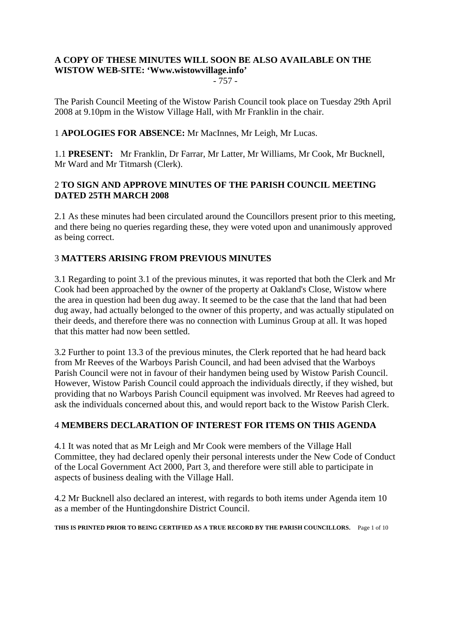# **A COPY OF THESE MINUTES WILL SOON BE ALSO AVAILABLE ON THE WISTOW WEB-SITE: 'Www.wistowvillage.info'**

- 757 -

The Parish Council Meeting of the Wistow Parish Council took place on Tuesday 29th April 2008 at 9.10pm in the Wistow Village Hall, with Mr Franklin in the chair.

# 1 **APOLOGIES FOR ABSENCE:** Mr MacInnes, Mr Leigh, Mr Lucas.

1.1 **PRESENT:** Mr Franklin, Dr Farrar, Mr Latter, Mr Williams, Mr Cook, Mr Bucknell, Mr Ward and Mr Titmarsh (Clerk).

# 2 **TO SIGN AND APPROVE MINUTES OF THE PARISH COUNCIL MEETING DATED 25TH MARCH 2008**

2.1 As these minutes had been circulated around the Councillors present prior to this meeting, and there being no queries regarding these, they were voted upon and unanimously approved as being correct.

# 3 **MATTERS ARISING FROM PREVIOUS MINUTES**

3.1 Regarding to point 3.1 of the previous minutes, it was reported that both the Clerk and Mr Cook had been approached by the owner of the property at Oakland's Close, Wistow where the area in question had been dug away. It seemed to be the case that the land that had been dug away, had actually belonged to the owner of this property, and was actually stipulated on their deeds, and therefore there was no connection with Luminus Group at all. It was hoped that this matter had now been settled.

3.2 Further to point 13.3 of the previous minutes, the Clerk reported that he had heard back from Mr Reeves of the Warboys Parish Council, and had been advised that the Warboys Parish Council were not in favour of their handymen being used by Wistow Parish Council. However, Wistow Parish Council could approach the individuals directly, if they wished, but providing that no Warboys Parish Council equipment was involved. Mr Reeves had agreed to ask the individuals concerned about this, and would report back to the Wistow Parish Clerk.

#### 4 **MEMBERS DECLARATION OF INTEREST FOR ITEMS ON THIS AGENDA**

4.1 It was noted that as Mr Leigh and Mr Cook were members of the Village Hall Committee, they had declared openly their personal interests under the New Code of Conduct of the Local Government Act 2000, Part 3, and therefore were still able to participate in aspects of business dealing with the Village Hall.

4.2 Mr Bucknell also declared an interest, with regards to both items under Agenda item 10 as a member of the Huntingdonshire District Council.

**THIS IS PRINTED PRIOR TO BEING CERTIFIED AS A TRUE RECORD BY THE PARISH COUNCILLORS.** Page 1 of 10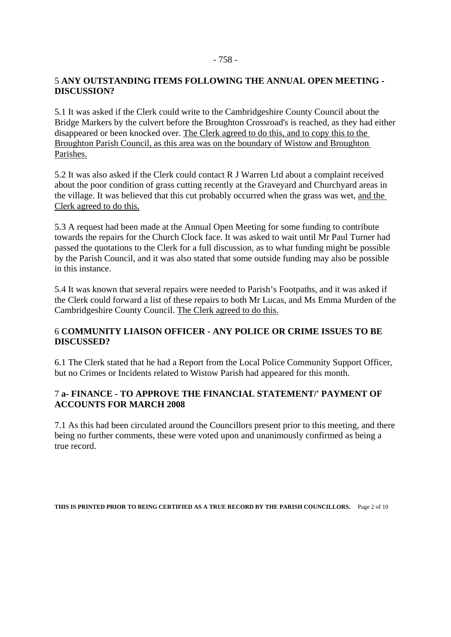### - 758 -

# 5 **ANY OUTSTANDING ITEMS FOLLOWING THE ANNUAL OPEN MEETING - DISCUSSION?**

5.1 It was asked if the Clerk could write to the Cambridgeshire County Council about the Bridge Markers by the culvert before the Broughton Crossroad's is reached, as they had either disappeared or been knocked over. The Clerk agreed to do this, and to copy this to the Broughton Parish Council, as this area was on the boundary of Wistow and Broughton Parishes.

5.2 It was also asked if the Clerk could contact R J Warren Ltd about a complaint received about the poor condition of grass cutting recently at the Graveyard and Churchyard areas in the village. It was believed that this cut probably occurred when the grass was wet, and the Clerk agreed to do this.

5.3 A request had been made at the Annual Open Meeting for some funding to contribute towards the repairs for the Church Clock face. It was asked to wait until Mr Paul Turner had passed the quotations to the Clerk for a full discussion, as to what funding might be possible by the Parish Council, and it was also stated that some outside funding may also be possible in this instance.

5.4 It was known that several repairs were needed to Parish's Footpaths, and it was asked if the Clerk could forward a list of these repairs to both Mr Lucas, and Ms Emma Murden of the Cambridgeshire County Council. The Clerk agreed to do this.

# 6 **COMMUNITY LIAISON OFFICER - ANY POLICE OR CRIME ISSUES TO BE DISCUSSED?**

6.1 The Clerk stated that he had a Report from the Local Police Community Support Officer, but no Crimes or Incidents related to Wistow Parish had appeared for this month.

# 7 **a- FINANCE - TO APPROVE THE FINANCIAL STATEMENT/' PAYMENT OF ACCOUNTS FOR MARCH 2008**

7.1 As this had been circulated around the Councillors present prior to this meeting, and there being no further comments, these were voted upon and unanimously confirmed as being a true record.

**THIS IS PRINTED PRIOR TO BEING CERTIFIED AS A TRUE RECORD BY THE PARISH COUNCILLORS.** Page 2 of 10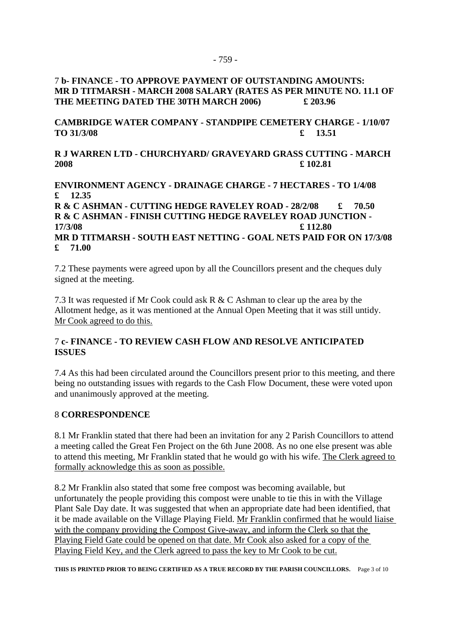# 7 **b- FINANCE - TO APPROVE PAYMENT OF OUTSTANDING AMOUNTS: MR D TITMARSH - MARCH 2008 SALARY (RATES AS PER MINUTE NO. 11.1 OF THE MEETING DATED THE 30TH MARCH 2006) £ 203.96**

**CAMBRIDGE WATER COMPANY - STANDPIPE CEMETERY CHARGE - 1/10/07 TO 31/3/08 £ 13.51** 

**R J WARREN LTD - CHURCHYARD/ GRAVEYARD GRASS CUTTING - MARCH 2008 £ 102.81** 

**ENVIRONMENT AGENCY - DRAINAGE CHARGE - 7 HECTARES - TO 1/4/08 £ 12.35** 

**R & C ASHMAN - CUTTING HEDGE RAVELEY ROAD - 28/2/08 £ 70.50 R & C ASHMAN - FINISH CUTTING HEDGE RAVELEY ROAD JUNCTION - 17/3/08 £ 112.80 MR D TITMARSH - SOUTH EAST NETTING - GOAL NETS PAID FOR ON 17/3/08 £ 71.00**

7.2 These payments were agreed upon by all the Councillors present and the cheques duly signed at the meeting.

7.3 It was requested if Mr Cook could ask R & C Ashman to clear up the area by the Allotment hedge, as it was mentioned at the Annual Open Meeting that it was still untidy. Mr Cook agreed to do this.

## 7 **c- FINANCE - TO REVIEW CASH FLOW AND RESOLVE ANTICIPATED ISSUES**

7.4 As this had been circulated around the Councillors present prior to this meeting, and there being no outstanding issues with regards to the Cash Flow Document, these were voted upon and unanimously approved at the meeting.

#### 8 **CORRESPONDENCE**

8.1 Mr Franklin stated that there had been an invitation for any 2 Parish Councillors to attend a meeting called the Great Fen Project on the 6th June 2008. As no one else present was able to attend this meeting, Mr Franklin stated that he would go with his wife. The Clerk agreed to formally acknowledge this as soon as possible.

8.2 Mr Franklin also stated that some free compost was becoming available, but unfortunately the people providing this compost were unable to tie this in with the Village Plant Sale Day date. It was suggested that when an appropriate date had been identified, that it be made available on the Village Playing Field. Mr Franklin confirmed that he would liaise with the company providing the Compost Give-away, and inform the Clerk so that the Playing Field Gate could be opened on that date. Mr Cook also asked for a copy of the Playing Field Key, and the Clerk agreed to pass the key to Mr Cook to be cut.

**THIS IS PRINTED PRIOR TO BEING CERTIFIED AS A TRUE RECORD BY THE PARISH COUNCILLORS.** Page 3 of 10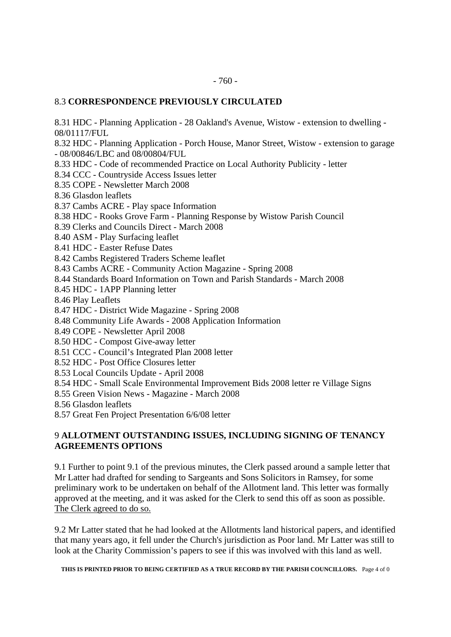#### 8.3 **CORRESPONDENCE PREVIOUSLY CIRCULATED**

8.31 HDC - Planning Application - 28 Oakland's Avenue, Wistow - extension to dwelling - 08/01117/FUL

8.32 HDC - Planning Application - Porch House, Manor Street, Wistow - extension to garage - 08/00846/LBC and 08/00804/FUL

- 8.33 HDC Code of recommended Practice on Local Authority Publicity letter
- 8.34 CCC Countryside Access Issues letter
- 8.35 COPE Newsletter March 2008
- 8.36 Glasdon leaflets

8.37 Cambs ACRE - Play space Information

- 8.38 HDC Rooks Grove Farm Planning Response by Wistow Parish Council
- 8.39 Clerks and Councils Direct March 2008
- 8.40 ASM Play Surfacing leaflet
- 8.41 HDC Easter Refuse Dates
- 8.42 Cambs Registered Traders Scheme leaflet
- 8.43 Cambs ACRE Community Action Magazine Spring 2008
- 8.44 Standards Board Information on Town and Parish Standards March 2008
- 8.45 HDC 1APP Planning letter
- 8.46 Play Leaflets
- 8.47 HDC District Wide Magazine Spring 2008
- 8.48 Community Life Awards 2008 Application Information
- 8.49 COPE Newsletter April 2008
- 8.50 HDC Compost Give-away letter
- 8.51 CCC Council's Integrated Plan 2008 letter
- 8.52 HDC Post Office Closures letter
- 8.53 Local Councils Update April 2008
- 8.54 HDC Small Scale Environmental Improvement Bids 2008 letter re Village Signs
- 8.55 Green Vision News Magazine March 2008
- 8.56 Glasdon leaflets
- 8.57 Great Fen Project Presentation 6/6/08 letter

## 9 **ALLOTMENT OUTSTANDING ISSUES, INCLUDING SIGNING OF TENANCY AGREEMENTS OPTIONS**

9.1 Further to point 9.1 of the previous minutes, the Clerk passed around a sample letter that Mr Latter had drafted for sending to Sargeants and Sons Solicitors in Ramsey, for some preliminary work to be undertaken on behalf of the Allotment land. This letter was formally approved at the meeting, and it was asked for the Clerk to send this off as soon as possible. The Clerk agreed to do so.

9.2 Mr Latter stated that he had looked at the Allotments land historical papers, and identified that many years ago, it fell under the Church's jurisdiction as Poor land. Mr Latter was still to look at the Charity Commission's papers to see if this was involved with this land as well.

**THIS IS PRINTED PRIOR TO BEING CERTIFIED AS A TRUE RECORD BY THE PARISH COUNCILLORS.** Page 4 of 0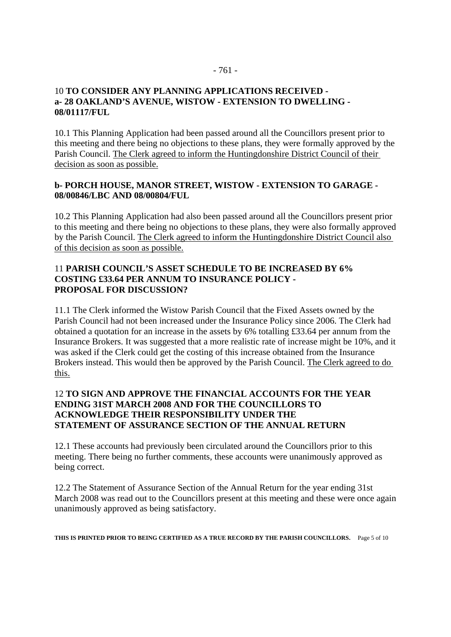# 10 **TO CONSIDER ANY PLANNING APPLICATIONS RECEIVED a- 28 OAKLAND'S AVENUE, WISTOW - EXTENSION TO DWELLING - 08/01117/FUL**

10.1 This Planning Application had been passed around all the Councillors present prior to this meeting and there being no objections to these plans, they were formally approved by the Parish Council. The Clerk agreed to inform the Huntingdonshire District Council of their decision as soon as possible.

## **b- PORCH HOUSE, MANOR STREET, WISTOW - EXTENSION TO GARAGE - 08/00846/LBC AND 08/00804/FUL**

10.2 This Planning Application had also been passed around all the Councillors present prior to this meeting and there being no objections to these plans, they were also formally approved by the Parish Council. The Clerk agreed to inform the Huntingdonshire District Council also of this decision as soon as possible.

## 11 **PARISH COUNCIL'S ASSET SCHEDULE TO BE INCREASED BY 6% COSTING £33.64 PER ANNUM TO INSURANCE POLICY - PROPOSAL FOR DISCUSSION?**

11.1 The Clerk informed the Wistow Parish Council that the Fixed Assets owned by the Parish Council had not been increased under the Insurance Policy since 2006. The Clerk had obtained a quotation for an increase in the assets by 6% totalling £33.64 per annum from the Insurance Brokers. It was suggested that a more realistic rate of increase might be 10%, and it was asked if the Clerk could get the costing of this increase obtained from the Insurance Brokers instead. This would then be approved by the Parish Council. The Clerk agreed to do this.

## 12 **TO SIGN AND APPROVE THE FINANCIAL ACCOUNTS FOR THE YEAR ENDING 31ST MARCH 2008 AND FOR THE COUNCILLORS TO ACKNOWLEDGE THEIR RESPONSIBILITY UNDER THE STATEMENT OF ASSURANCE SECTION OF THE ANNUAL RETURN**

12.1 These accounts had previously been circulated around the Councillors prior to this meeting. There being no further comments, these accounts were unanimously approved as being correct.

12.2 The Statement of Assurance Section of the Annual Return for the year ending 31st March 2008 was read out to the Councillors present at this meeting and these were once again unanimously approved as being satisfactory.

**THIS IS PRINTED PRIOR TO BEING CERTIFIED AS A TRUE RECORD BY THE PARISH COUNCILLORS.** Page 5 of 10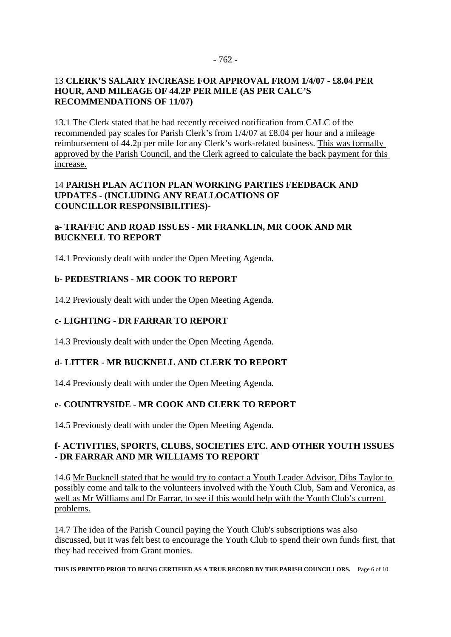#### 13 **CLERK'S SALARY INCREASE FOR APPROVAL FROM 1/4/07 - £8.04 PER HOUR, AND MILEAGE OF 44.2P PER MILE (AS PER CALC'S RECOMMENDATIONS OF 11/07)**

13.1 The Clerk stated that he had recently received notification from CALC of the recommended pay scales for Parish Clerk's from 1/4/07 at £8.04 per hour and a mileage reimbursement of 44.2p per mile for any Clerk's work-related business. This was formally approved by the Parish Council, and the Clerk agreed to calculate the back payment for this increase.

# 14 **PARISH PLAN ACTION PLAN WORKING PARTIES FEEDBACK AND UPDATES - (INCLUDING ANY REALLOCATIONS OF COUNCILLOR RESPONSIBILITIES)-**

# **a- TRAFFIC AND ROAD ISSUES - MR FRANKLIN, MR COOK AND MR BUCKNELL TO REPORT**

14.1 Previously dealt with under the Open Meeting Agenda.

# **b- PEDESTRIANS - MR COOK TO REPORT**

14.2 Previously dealt with under the Open Meeting Agenda.

# **c- LIGHTING - DR FARRAR TO REPORT**

14.3 Previously dealt with under the Open Meeting Agenda.

# **d- LITTER - MR BUCKNELL AND CLERK TO REPORT**

14.4 Previously dealt with under the Open Meeting Agenda.

# **e- COUNTRYSIDE - MR COOK AND CLERK TO REPORT**

14.5 Previously dealt with under the Open Meeting Agenda.

# **f- ACTIVITIES, SPORTS, CLUBS, SOCIETIES ETC. AND OTHER YOUTH ISSUES - DR FARRAR AND MR WILLIAMS TO REPORT**

14.6 Mr Bucknell stated that he would try to contact a Youth Leader Advisor, Dibs Taylor to possibly come and talk to the volunteers involved with the Youth Club, Sam and Veronica, as well as Mr Williams and Dr Farrar, to see if this would help with the Youth Club's current problems.

14.7 The idea of the Parish Council paying the Youth Club's subscriptions was also discussed, but it was felt best to encourage the Youth Club to spend their own funds first, that they had received from Grant monies.

**THIS IS PRINTED PRIOR TO BEING CERTIFIED AS A TRUE RECORD BY THE PARISH COUNCILLORS.** Page 6 of 10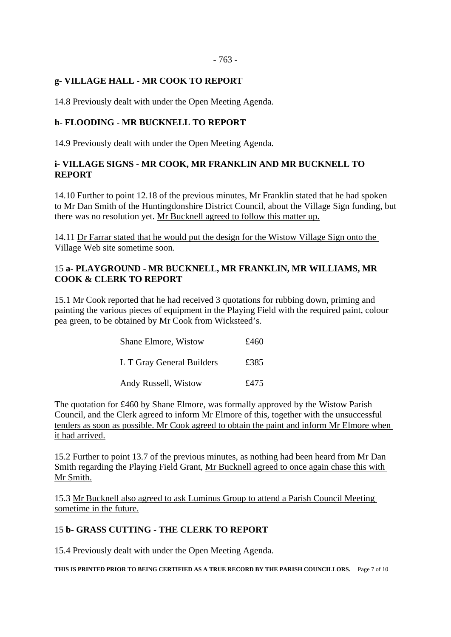- 763 -

## **g- VILLAGE HALL - MR COOK TO REPORT**

14.8 Previously dealt with under the Open Meeting Agenda.

# **h- FLOODING - MR BUCKNELL TO REPORT**

14.9 Previously dealt with under the Open Meeting Agenda.

# **i- VILLAGE SIGNS - MR COOK, MR FRANKLIN AND MR BUCKNELL TO REPORT**

14.10 Further to point 12.18 of the previous minutes, Mr Franklin stated that he had spoken to Mr Dan Smith of the Huntingdonshire District Council, about the Village Sign funding, but there was no resolution yet. Mr Bucknell agreed to follow this matter up.

14.11 Dr Farrar stated that he would put the design for the Wistow Village Sign onto the Village Web site sometime soon.

## 15 **a- PLAYGROUND - MR BUCKNELL, MR FRANKLIN, MR WILLIAMS, MR COOK & CLERK TO REPORT**

15.1 Mr Cook reported that he had received 3 quotations for rubbing down, priming and painting the various pieces of equipment in the Playing Field with the required paint, colour pea green, to be obtained by Mr Cook from Wicksteed's.

| <b>Shane Elmore, Wistow</b> | £460 |
|-----------------------------|------|
| L T Gray General Builders   | £385 |
| Andy Russell, Wistow        | £475 |

The quotation for £460 by Shane Elmore, was formally approved by the Wistow Parish Council, and the Clerk agreed to inform Mr Elmore of this, together with the unsuccessful tenders as soon as possible. Mr Cook agreed to obtain the paint and inform Mr Elmore when it had arrived.

15.2 Further to point 13.7 of the previous minutes, as nothing had been heard from Mr Dan Smith regarding the Playing Field Grant, Mr Bucknell agreed to once again chase this with Mr Smith.

15.3 Mr Bucknell also agreed to ask Luminus Group to attend a Parish Council Meeting sometime in the future.

#### 15 **b- GRASS CUTTING - THE CLERK TO REPORT**

15.4 Previously dealt with under the Open Meeting Agenda.

**THIS IS PRINTED PRIOR TO BEING CERTIFIED AS A TRUE RECORD BY THE PARISH COUNCILLORS.** Page 7 of 10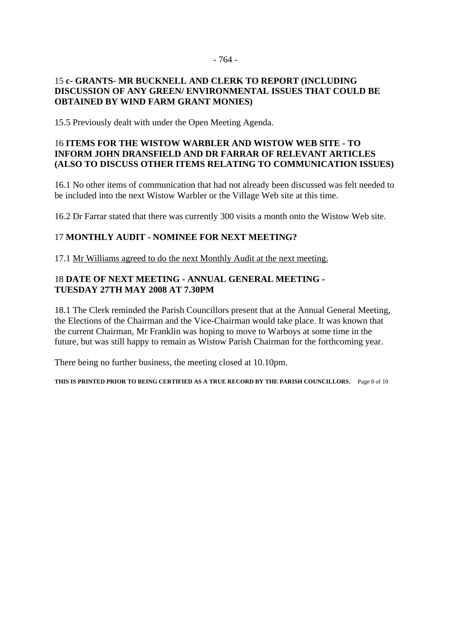#### - 764 -

# 15 **c- GRANTS- MR BUCKNELL AND CLERK TO REPORT (INCLUDING DISCUSSION OF ANY GREEN/ ENVIRONMENTAL ISSUES THAT COULD BE OBTAINED BY WIND FARM GRANT MONIES)**

15.5 Previously dealt with under the Open Meeting Agenda.

## 16 **ITEMS FOR THE WISTOW WARBLER AND WISTOW WEB SITE - TO INFORM JOHN DRANSFIELD AND DR FARRAR OF RELEVANT ARTICLES (ALSO TO DISCUSS OTHER ITEMS RELATING TO COMMUNICATION ISSUES)**

16.1 No other items of communication that had not already been discussed was felt needed to be included into the next Wistow Warbler or the Village Web site at this time.

16.2 Dr Farrar stated that there was currently 300 visits a month onto the Wistow Web site.

# 17 **MONTHLY AUDIT - NOMINEE FOR NEXT MEETING?**

17.1 Mr Williams agreed to do the next Monthly Audit at the next meeting.

# 18 **DATE OF NEXT MEETING - ANNUAL GENERAL MEETING - TUESDAY 27TH MAY 2008 AT 7.30PM**

18.1 The Clerk reminded the Parish Councillors present that at the Annual General Meeting, the Elections of the Chairman and the Vice-Chairman would take place. It was known that the current Chairman, Mr Franklin was hoping to move to Warboys at some time in the future, but was still happy to remain as Wistow Parish Chairman for the forthcoming year.

There being no further business, the meeting closed at 10.10pm.

**THIS IS PRINTED PRIOR TO BEING CERTIFIED AS A TRUE RECORD BY THE PARISH COUNCILLORS.** Page 8 of 10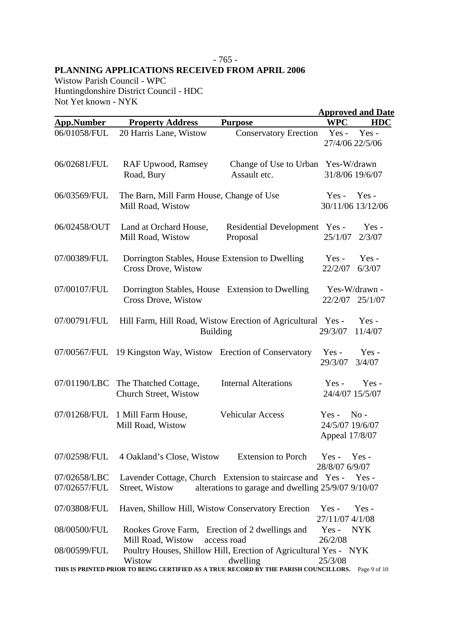## - 765 - **PLANNING APPLICATIONS RECEIVED FROM APRIL 2006**

Wistow Parish Council - WPC Huntingdonshire District Council - HDC Not Yet known - NYK

|                              |                                                                                                   |                                                                                                                 |                                              | <b>Approved and Date</b>     |  |
|------------------------------|---------------------------------------------------------------------------------------------------|-----------------------------------------------------------------------------------------------------------------|----------------------------------------------|------------------------------|--|
| <b>App.Number</b>            | <b>Property Address</b>                                                                           | <b>Purpose</b>                                                                                                  | <b>WPC</b>                                   | <b>HDC</b>                   |  |
| 06/01058/FUL                 | 20 Harris Lane, Wistow                                                                            | <b>Conservatory Erection</b>                                                                                    | $Yes -$<br>27/4/06 22/5/06                   | Yes-                         |  |
| 06/02681/FUL                 | <b>RAF Upwood, Ramsey</b><br>Road, Bury                                                           | Change of Use to Urban<br>Assault etc.                                                                          | Yes-W/drawn<br>31/8/06 19/6/07               |                              |  |
| 06/03569/FUL                 | The Barn, Mill Farm House, Change of Use<br>Mill Road, Wistow                                     |                                                                                                                 | $Yes -$                                      | $Yes -$<br>30/11/06 13/12/06 |  |
| 06/02458/OUT                 | Land at Orchard House,<br>Mill Road, Wistow                                                       | Residential Development Yes -<br>Proposal                                                                       | 25/1/07                                      | $Yes -$<br>2/3/07            |  |
| 07/00389/FUL                 | Dorrington Stables, House Extension to Dwelling<br><b>Cross Drove, Wistow</b>                     |                                                                                                                 | $Yes -$<br>22/2/07                           | $Yes -$<br>6/3/07            |  |
| 07/00107/FUL                 | Dorrington Stables, House Extension to Dwelling<br><b>Cross Drove, Wistow</b>                     |                                                                                                                 | 22/2/07                                      | Yes-W/drawn -<br>25/1/07     |  |
| 07/00791/FUL                 | <b>Building</b>                                                                                   | Hill Farm, Hill Road, Wistow Erection of Agricultural                                                           | $Yes -$<br>29/3/07                           | Yes-<br>11/4/07              |  |
| 07/00567/FUL                 | 19 Kingston Way, Wistow Erection of Conservatory                                                  |                                                                                                                 | Yes-<br>29/3/07                              | Yes-<br>3/4/07               |  |
| 07/01190/LBC                 | The Thatched Cottage,<br>Church Street, Wistow                                                    | <b>Internal Alterations</b>                                                                                     | $Yes -$<br>24/4/07 15/5/07                   | $Yes -$                      |  |
| 07/01268/FUL                 | 1 Mill Farm House,<br>Mill Road, Wistow                                                           | <b>Vehicular Access</b>                                                                                         | $Yes -$<br>24/5/07 19/6/07<br>Appeal 17/8/07 | $No -$                       |  |
| 07/02598/FUL                 | 4 Oakland's Close, Wistow                                                                         | <b>Extension to Porch</b>                                                                                       | $Yes -$<br>28/8/07 6/9/07                    | $Yes -$                      |  |
| 07/02658/LBC<br>07/02657/FUL | Street, Wistow                                                                                    | Lavender Cottage, Church Extension to staircase and Yes -<br>alterations to garage and dwelling 25/9/07 9/10/07 |                                              | Yes -                        |  |
| 07/03808/FUL                 | Haven, Shillow Hill, Wistow Conservatory Erection                                                 |                                                                                                                 | $Yes -$<br>27/11/07 4/1/08                   | $Yes -$                      |  |
| 08/00500/FUL                 | Rookes Grove Farm, Erection of 2 dwellings and<br>Mill Road, Wistow                               | access road                                                                                                     | $Yes -$<br>26/2/08                           | NYK                          |  |
| 08/00599/FUL                 | Wistow                                                                                            | Poultry Houses, Shillow Hill, Erection of Agricultural Yes - NYK<br>dwelling                                    | 25/3/08                                      |                              |  |
|                              | THIS IS PRINTED PRIOR TO BEING CERTIFIED AS A TRUE RECORD BY THE PARISH COUNCILLORS. Page 9 of 10 |                                                                                                                 |                                              |                              |  |